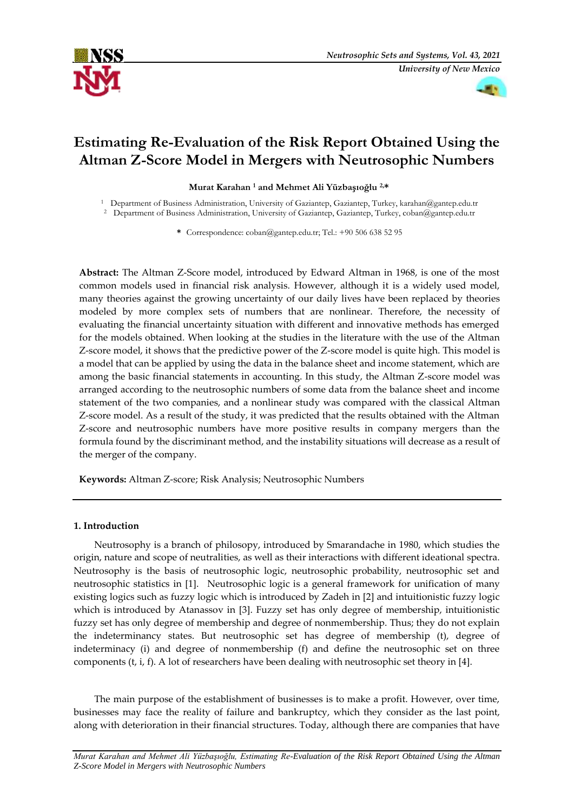



# **Estimating Re-Evaluation of the Risk Report Obtained Using the Altman Z-Score Model in Mergers with Neutrosophic Numbers**

**Murat Karahan <sup>1</sup> and Mehmet Ali Yüzbaşıoğlu 2,\***

<sup>1</sup> Department of Business Administration, University of Gaziantep, Gaziantep, Turkey, karahan@gantep.edu.tr

<sup>2</sup> Department of Business Administration, University of Gaziantep, Gaziantep, Turkey, coban@gantep.edu.tr

**\*** Correspondence: coban@gantep.edu.tr; Tel.: +90 506 638 52 95

**Abstract:** The Altman Z-Score model, introduced by Edward Altman in 1968, is one of the most common models used in financial risk analysis. However, although it is a widely used model, many theories against the growing uncertainty of our daily lives have been replaced by theories modeled by more complex sets of numbers that are nonlinear. Therefore, the necessity of evaluating the financial uncertainty situation with different and innovative methods has emerged for the models obtained. When looking at the studies in the literature with the use of the Altman Z-score model, it shows that the predictive power of the Z-score model is quite high. This model is a model that can be applied by using the data in the balance sheet and income statement, which are among the basic financial statements in accounting. In this study, the Altman Z-score model was arranged according to the neutrosophic numbers of some data from the balance sheet and income statement of the two companies, and a nonlinear study was compared with the classical Altman Z-score model. As a result of the study, it was predicted that the results obtained with the Altman Z-score and neutrosophic numbers have more positive results in company mergers than the formula found by the discriminant method, and the instability situations will decrease as a result of the merger of the company.

**Keywords:** Altman Z-score; Risk Analysis; Neutrosophic Numbers

## **1. Introduction**

Neutrosophy is a branch of philosopy, introduced by Smarandache in 1980, which studies the origin, nature and scope of neutralities, as well as their interactions with different ideational spectra. Neutrosophy is the basis of neutrosophic logic, neutrosophic probability, neutrosophic set and neutrosophic statistics in [1]. Neutrosophic logic is a general framework for unification of many existing logics such as fuzzy logic which is introduced by Zadeh in [2] and intuitionistic fuzzy logic which is introduced by Atanassov in [3]. Fuzzy set has only degree of membership, intuitionistic fuzzy set has only degree of membership and degree of nonmembership. Thus; they do not explain the indeterminancy states. But neutrosophic set has degree of membership (t), degree of indeterminacy (i) and degree of nonmembership (f) and define the neutrosophic set on three components (t, i, f). A lot of researchers have been dealing with neutrosophic set theory in [4].

The main purpose of the establishment of businesses is to make a profit. However, over time, businesses may face the reality of failure and bankruptcy, which they consider as the last point, along with deterioration in their financial structures. Today, although there are companies that have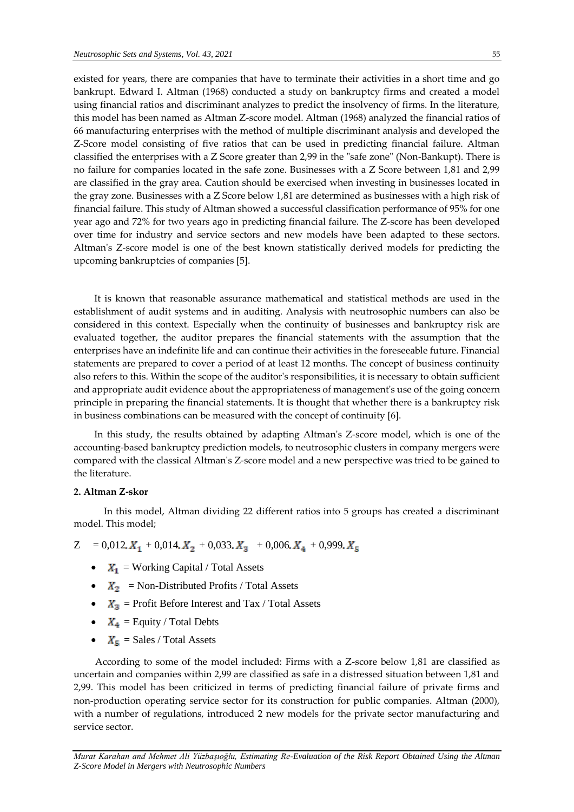existed for years, there are companies that have to terminate their activities in a short time and go bankrupt. Edward I. Altman (1968) conducted a study on bankruptcy firms and created a model using financial ratios and discriminant analyzes to predict the insolvency of firms. In the literature, this model has been named as Altman Z-score model. Altman (1968) analyzed the financial ratios of 66 manufacturing enterprises with the method of multiple discriminant analysis and developed the Z-Score model consisting of five ratios that can be used in predicting financial failure. Altman classified the enterprises with a Z Score greater than 2,99 in the "safe zone" (Non-Bankupt). There is no failure for companies located in the safe zone. Businesses with a Z Score between 1,81 and 2,99

are classified in the gray area. Caution should be exercised when investing in businesses located in the gray zone. Businesses with a Z Score below 1,81 are determined as businesses with a high risk of financial failure. This study of Altman showed a successful classification performance of 95% for one year ago and 72% for two years ago in predicting financial failure. The Z-score has been developed over time for industry and service sectors and new models have been adapted to these sectors. Altman's Z-score model is one of the best known statistically derived models for predicting the upcoming bankruptcies of companies [5].

It is known that reasonable assurance mathematical and statistical methods are used in the establishment of audit systems and in auditing. Analysis with neutrosophic numbers can also be considered in this context. Especially when the continuity of businesses and bankruptcy risk are evaluated together, the auditor prepares the financial statements with the assumption that the enterprises have an indefinite life and can continue their activities in the foreseeable future. Financial statements are prepared to cover a period of at least 12 months. The concept of business continuity also refers to this. Within the scope of the auditor's responsibilities, it is necessary to obtain sufficient and appropriate audit evidence about the appropriateness of management's use of the going concern principle in preparing the financial statements. It is thought that whether there is a bankruptcy risk in business combinations can be measured with the concept of continuity [6].

In this study, the results obtained by adapting Altman's Z-score model, which is one of the accounting-based bankruptcy prediction models, to neutrosophic clusters in company mergers were compared with the classical Altman's Z-score model and a new perspective was tried to be gained to the literature.

### **2. Altman Z-skor**

 In this model, Altman dividing 22 different ratios into 5 groups has created a discriminant model. This model;

 $Z = 0.012$ ,  $X_1 + 0.014$ ,  $X_2 + 0.033$ ,  $X_3 + 0.006$ ,  $X_4 + 0.999$ ,  $X_5$ 

- $X_1$  = Working Capital / Total Assets
- $X_2$  = Non-Distributed Profits / Total Assets
- $X_3$  = Profit Before Interest and Tax / Total Assets
- $X_4$  = Equity / Total Debts
- $X_5$  = Sales / Total Assets

 According to some of the model included: Firms with a Z-score below 1,81 are classified as uncertain and companies within 2,99 are classified as safe in a distressed situation between 1,81 and 2,99. This model has been criticized in terms of predicting financial failure of private firms and non-production operating service sector for its construction for public companies. Altman (2000), with a number of regulations, introduced 2 new models for the private sector manufacturing and service sector.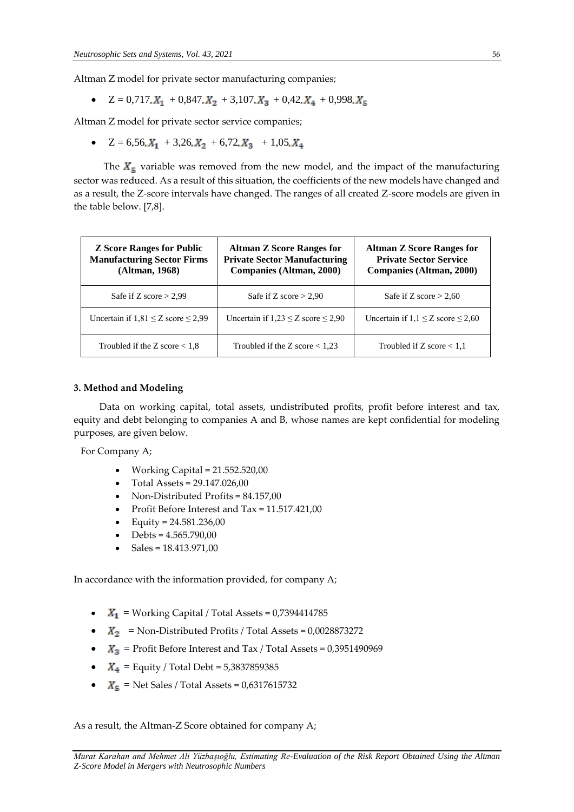Altman Z model for private sector manufacturing companies;

 $\bullet$   $Z = 0.717$ .  $X_1 + 0.847$ .  $X_2 + 3.107$ .  $X_3 + 0.42$ .  $X_4 + 0.998$ .  $X_5$ 

Altman Z model for private sector service companies;

•  $Z = 6,56, X_1 + 3,26, X_2 + 6,72, X_3 + 1,05, X_4$ 

The  $X<sub>5</sub>$  variable was removed from the new model, and the impact of the manufacturing sector was reduced. As a result of this situation, the coefficients of the new models have changed and as a result, the Z-score intervals have changed. The ranges of all created Z-score models are given in the table below. [7,8].

| <b>Z</b> Score Ranges for Public<br><b>Manufacturing Sector Firms</b><br>(Altman, 1968) | <b>Altman Z Score Ranges for</b><br><b>Private Sector Manufacturing</b><br><b>Companies (Altman, 2000)</b> | <b>Altman Z Score Ranges for</b><br><b>Private Sector Service</b><br>Companies (Altman, 2000) |
|-----------------------------------------------------------------------------------------|------------------------------------------------------------------------------------------------------------|-----------------------------------------------------------------------------------------------|
| Safe if Z score $> 2.99$                                                                | Safe if Z score $> 2.90$                                                                                   | Safe if Z score $> 2,60$                                                                      |
| Uncertain if $1,81 \le Z$ score $\le 2,99$                                              | Uncertain if $1,23 \le Z$ score $\le 2,90$                                                                 | Uncertain if $1, 1 \le Z$ score $\le 2,60$                                                    |
| Troubled if the Z score $< 1.8$                                                         | Troubled if the Z score $< 1.23$                                                                           | Troubled if Z score $< 1.1$                                                                   |

#### **3. Method and Modeling**

 Data on working capital, total assets, undistributed profits, profit before interest and tax, equity and debt belonging to companies A and B, whose names are kept confidential for modeling purposes, are given below.

For Company A;

- Working Capital =  $21.552.520,00$
- $\bullet$  Total Assets = 29.147.026,00
- Non-Distributed Profits = 84.157,00
- Profit Before Interest and Tax = 11.517.421,00
- Equity =  $24.581.236,00$
- Debts = 4.565.790,00
- Sales = 18.413.971,00

In accordance with the information provided, for company A;

- $\bullet$   $X_1$  = Working Capital / Total Assets = 0,7394414785
- $X_2$  = Non-Distributed Profits / Total Assets = 0,0028873272
- $\bullet$   $X_3$  = Profit Before Interest and Tax / Total Assets = 0,3951490969
- $X_4$  = Equity / Total Debt = 5,3837859385
- $\bullet$   $X_5$  = Net Sales / Total Assets = 0,6317615732

As a result, the Altman-Z Score obtained for company A;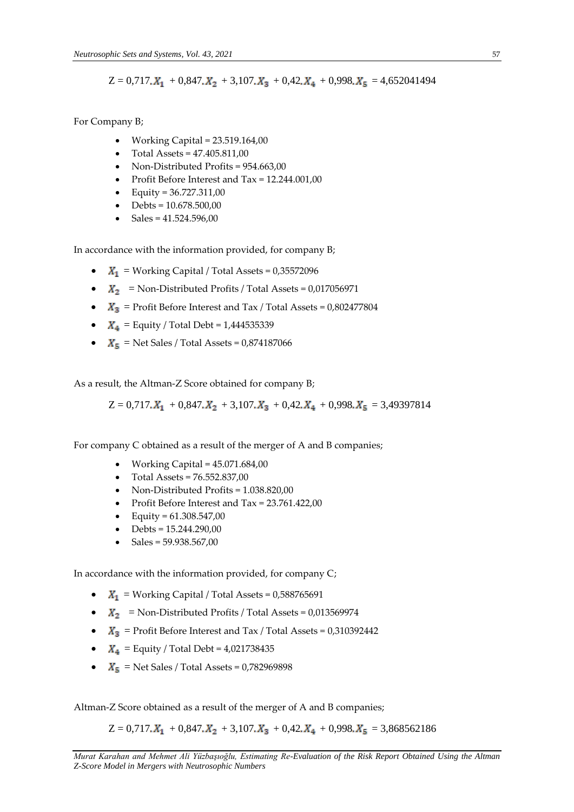$$
Z = 0.717 \cdot X_1 + 0.847 \cdot X_2 + 3.107 \cdot X_3 + 0.42 \cdot X_4 + 0.998 \cdot X_5 = 4.652041494
$$

For Company B;

- Working Capital = 23.519.164,00
- $\bullet$  Total Assets = 47.405.811,00
- Non-Distributed Profits = 954.663,00
- Profit Before Interest and Tax = 12.244.001,00
- Equity =  $36.727.311,00$
- $\bullet$  Debts = 10.678.500,00
- $\bullet$  Sales = 41.524.596,00

In accordance with the information provided, for company B;

- $\bullet$   $X_1$  = Working Capital / Total Assets = 0,35572096
- $X_2$  = Non-Distributed Profits / Total Assets = 0,017056971
- $X_3$  = Profit Before Interest and Tax / Total Assets = 0,802477804
- $X_4$  = Equity / Total Debt = 1,444535339
- $\bullet$   $X_5$  = Net Sales / Total Assets = 0,874187066

As a result, the Altman-Z Score obtained for company B;

 $Z = 0.717$ . $X_1 + 0.847$ . $X_2 + 3.107$ . $X_3 + 0.42$ . $X_4 + 0.998$ . $X_5 = 3.49397814$ 

For company C obtained as a result of the merger of A and B companies;

- Working Capital =  $45.071.684,00$
- Total Assets = 76.552.837,00
- Non-Distributed Profits = 1.038.820,00
- Profit Before Interest and Tax = 23.761.422,00
- Equity =  $61.308.547,00$
- $\bullet$  Debts = 15.244.290,00
- Sales = 59.938.567,00

In accordance with the information provided, for company C;

- $\bullet$   $X_1$  = Working Capital / Total Assets = 0,588765691
- $X_2$  = Non-Distributed Profits / Total Assets = 0,013569974
- $\bullet$   $X_3$  = Profit Before Interest and Tax / Total Assets = 0,310392442
- $X_4$  = Equity / Total Debt = 4,021738435
- $\bullet$   $X_5$  = Net Sales / Total Assets = 0,782969898

Altman-Z Score obtained as a result of the merger of A and B companies;

 $Z = 0.717 \text{K}_1 + 0.847 \text{K}_2 + 3.107 \text{K}_3 + 0.42 \text{K}_4 + 0.998 \text{K}_5 = 3.868562186$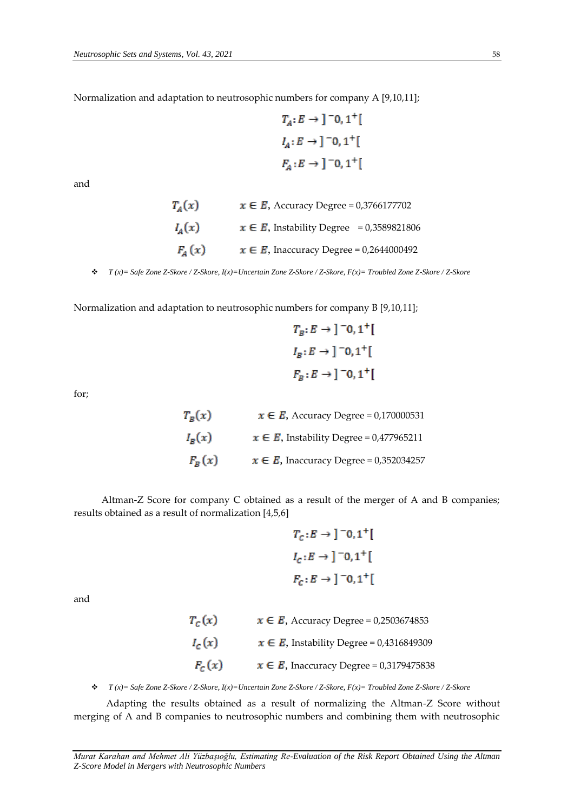Normalization and adaptation to neutrosophic numbers for company A [9,10,11];

$$
T_A: E \to ]-0, 1^+[
$$
  

$$
I_A: E \to ]-0, 1^+[
$$
  

$$
F_A: E \to ]-0, 1^+[
$$

and

$$
T_A(x) \qquad x \in E, \text{ Accuracy Degree} = 0,3766177702
$$
\n
$$
I_A(x) \qquad x \in E, \text{ Instability Degree} = 0,3589821806
$$
\n
$$
F_A(x) \qquad x \in E, \text{ Inaccuracy Degree} = 0,2644000492
$$

*T (x)= Safe Zone Z-Skore / Z-Skore, I(x)=Uncertain Zone Z-Skore / Z-Skore, F(x)= Troubled Zone Z-Skore / Z-Skore*

Normalization and adaptation to neutrosophic numbers for company B [9,10,11];

$$
T_B: E \to ]-0, 1^+[
$$
  

$$
I_B: E \to ]-0, 1^+[
$$
  

$$
F_B: E \to ]-0, 1^+[
$$

for;

 $T_B(x)$   $x \in E$ , Accuracy Degree = 0,170000531  $I_B(x)$   $\qquad \quad x\in E,$  Instability Degree = 0,477965211  $F_R(x)$   $x \in E$ , Inaccuracy Degree = 0,352034257

 Altman-Z Score for company C obtained as a result of the merger of A and B companies; results obtained as a result of normalization [4,5,6]

$$
T_c: E \rightarrow ]-0,1^+[
$$
  

$$
I_c: E \rightarrow ]-0,1^+[
$$
  

$$
F_c: E \rightarrow ]-0,1^+[
$$

and

| $T_c(x)$ | $x \in E$ , Accuracy Degree = 0,2503674853    |
|----------|-----------------------------------------------|
| $I_c(x)$ | $x \in E$ , Instability Degree = 0,4316849309 |
| $F_c(x)$ | $x \in E$ , Inaccuracy Degree = 0,3179475838  |

*T (x)= Safe Zone Z-Skore / Z-Skore, I(x)=Uncertain Zone Z-Skore / Z-Skore, F(x)= Troubled Zone Z-Skore / Z-Skore*

 Adapting the results obtained as a result of normalizing the Altman-Z Score without merging of A and B companies to neutrosophic numbers and combining them with neutrosophic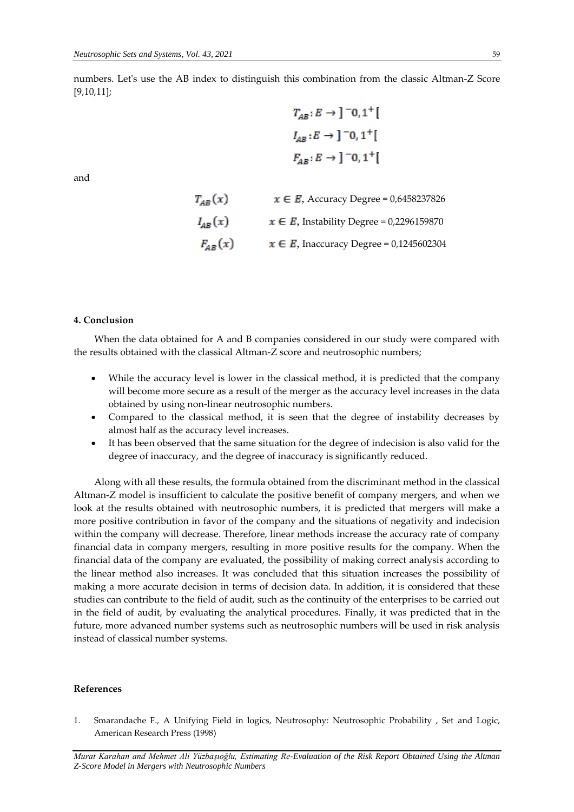numbers. Let's use the AB index to distinguish this combination from the classic Altman-Z Score [9,10,11];

$$
T_{AB}: E \rightarrow ]-0,1^+[
$$
  

$$
I_{AB}: E \rightarrow ]-0,1^+[
$$
  

$$
F_{AB}: E \rightarrow ]-0,1^+[
$$

 $\sim$   $\sim$ 

and

$$
T_{AB}(x) \t x \in E, \text{ Accuracy Degree} = 0,6458237826
$$

$$
I_{AB}(x) \t x \in E, \text{ Instability Degree} = 0,2296159870
$$

$$
F_{AB}(x) \t x \in E, \text{ Inaccuracy Degree} = 0,1245602304
$$

#### **4. Conclusion**

When the data obtained for A and B companies considered in our study were compared with the results obtained with the classical Altman-Z score and neutrosophic numbers;

- While the accuracy level is lower in the classical method, it is predicted that the company will become more secure as a result of the merger as the accuracy level increases in the data obtained by using non-linear neutrosophic numbers.
- Compared to the classical method, it is seen that the degree of instability decreases by almost half as the accuracy level increases.
- It has been observed that the same situation for the degree of indecision is also valid for the degree of inaccuracy, and the degree of inaccuracy is significantly reduced.

Along with all these results, the formula obtained from the discriminant method in the classical Altman-Z model is insufficient to calculate the positive benefit of company mergers, and when we look at the results obtained with neutrosophic numbers, it is predicted that mergers will make a more positive contribution in favor of the company and the situations of negativity and indecision within the company will decrease. Therefore, linear methods increase the accuracy rate of company financial data in company mergers, resulting in more positive results for the company. When the financial data of the company are evaluated, the possibility of making correct analysis according to the linear method also increases. It was concluded that this situation increases the possibility of making a more accurate decision in terms of decision data. In addition, it is considered that these studies can contribute to the field of audit, such as the continuity of the enterprises to be carried out in the field of audit, by evaluating the analytical procedures. Finally, it was predicted that in the future, more advanced number systems such as neutrosophic numbers will be used in risk analysis instead of classical number systems.

#### **References**

1. Smarandache F., A Unifying Field in logics, Neutrosophy: Neutrosophic Probability , Set and Logic, American Research Press (1998)

*Murat Karahan and Mehmet Ali Yüzbaşıoğlu, Estimating Re-Evaluation of the Risk Report Obtained Using the Altman Z-Score Model in Mergers with Neutrosophic Numbers*